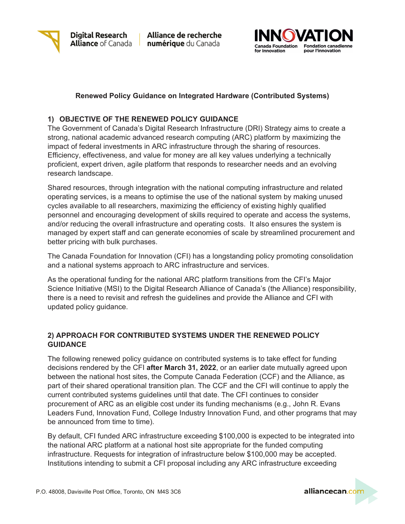

Alliance de recherche numérique du Canada



# **Renewed Policy Guidance on Integrated Hardware (Contributed Systems)**

# **1) OBJECTIVE OF THE RENEWED POLICY GUIDANCE**

The Government of Canada's Digital Research Infrastructure (DRI) Strategy aims to create a strong, national academic advanced research computing (ARC) platform by maximizing the impact of federal investments in ARC infrastructure through the sharing of resources. Efficiency, effectiveness, and value for money are all key values underlying a technically proficient, expert driven, agile platform that responds to researcher needs and an evolving research landscape.

Shared resources, through integration with the national computing infrastructure and related operating services, is a means to optimise the use of the national system by making unused cycles available to all researchers, maximizing the efficiency of existing highly qualified personnel and encouraging development of skills required to operate and access the systems, and/or reducing the overall infrastructure and operating costs. It also ensures the system is managed by expert staff and can generate economies of scale by streamlined procurement and better pricing with bulk purchases.

The Canada Foundation for Innovation (CFI) has a longstanding policy promoting consolidation and a national systems approach to ARC infrastructure and services.

As the operational funding for the national ARC platform transitions from the CFI's Major Science Initiative (MSI) to the Digital Research Alliance of Canada's (the Alliance) responsibility, there is a need to revisit and refresh the guidelines and provide the Alliance and CFI with updated policy guidance.

## **2) APPROACH FOR CONTRIBUTED SYSTEMS UNDER THE RENEWED POLICY GUIDANCE**

The following renewed policy guidance on contributed systems is to take effect for funding decisions rendered by the CFI **after March 31, 2022**, or an earlier date mutually agreed upon between the national host sites, the Compute Canada Federation (CCF) and the Alliance, as part of their shared operational transition plan. The CCF and the CFI will continue to apply the current contributed systems guidelines until that date. The CFI continues to consider procurement of ARC as an eligible cost under its funding mechanisms (e.g., John R. Evans Leaders Fund, Innovation Fund, College Industry Innovation Fund, and other programs that may be announced from time to time).

By default, CFI funded ARC infrastructure exceeding \$100,000 is expected to be integrated into the national ARC platform at a national host site appropriate for the funded computing infrastructure. Requests for integration of infrastructure below \$100,000 may be accepted. Institutions intending to submit a CFI proposal including any ARC infrastructure exceeding

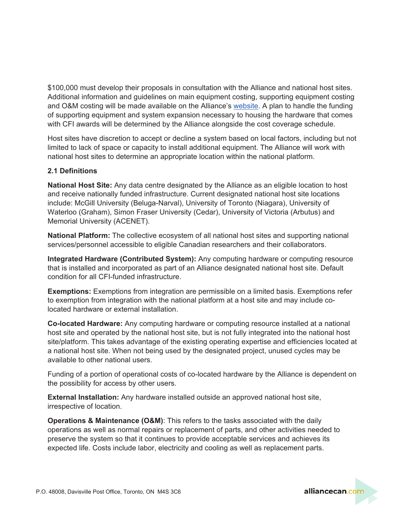\$100,000 must develop their proposals in consultation with the Alliance and national host sites. Additional information and guidelines on main equipment costing, supporting equipment costing and O&M costing will be made available on the Alliance's [website.](https://engagedri.ca/funding-opportunities/advanced-research-computing-infrastructure) A plan to handle the funding of supporting equipment and system expansion necessary to housing the hardware that comes with CFI awards will be determined by the Alliance alongside the cost coverage schedule.

Host sites have discretion to accept or decline a system based on local factors, including but not limited to lack of space or capacity to install additional equipment. The Alliance will work with national host sites to determine an appropriate location within the national platform.

## **2.1 Definitions**

**National Host Site:** Any data centre designated by the Alliance as an eligible location to host and receive nationally funded infrastructure. Current designated national host site locations include: McGill University (Beluga-Narval), University of Toronto (Niagara), University of Waterloo (Graham), Simon Fraser University (Cedar), University of Victoria (Arbutus) and Memorial University (ACENET).

**National Platform:** The collective ecosystem of all national host sites and supporting national services/personnel accessible to eligible Canadian researchers and their collaborators.

**Integrated Hardware (Contributed System):** Any computing hardware or computing resource that is installed and incorporated as part of an Alliance designated national host site. Default condition for all CFI-funded infrastructure.

**Exemptions:** Exemptions from integration are permissible on a limited basis. Exemptions refer to exemption from integration with the national platform at a host site and may include colocated hardware or external installation.

**Co-located Hardware:** Any computing hardware or computing resource installed at a national host site and operated by the national host site, but is not fully integrated into the national host site/platform. This takes advantage of the existing operating expertise and efficiencies located at a national host site. When not being used by the designated project, unused cycles may be available to other national users.

Funding of a portion of operational costs of co-located hardware by the Alliance is dependent on the possibility for access by other users.

**External Installation:** Any hardware installed outside an approved national host site, irrespective of location.

**Operations & Maintenance (O&M)**: This refers to the tasks associated with the daily operations as well as normal repairs or replacement of parts, and other activities needed to preserve the system so that it continues to provide acceptable services and achieves its expected life. Costs include labor, electricity and cooling as well as replacement parts.

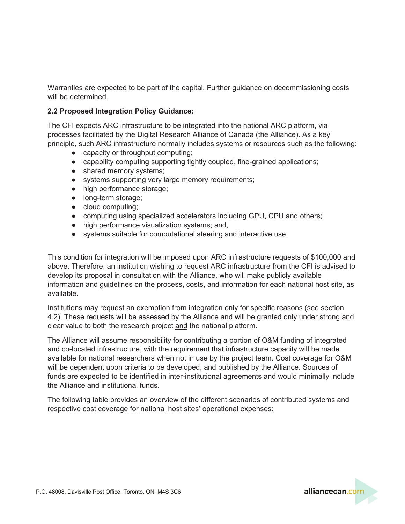Warranties are expected to be part of the capital. Further guidance on decommissioning costs will be determined.

# **2.2 Proposed Integration Policy Guidance:**

The CFI expects ARC infrastructure to be integrated into the national ARC platform, via processes facilitated by the Digital Research Alliance of Canada (the Alliance). As a key principle, such ARC infrastructure normally includes systems or resources such as the following:

- capacity or throughput computing;
- capability computing supporting tightly coupled, fine-grained applications;
- shared memory systems;
- systems supporting very large memory requirements;
- high performance storage;
- long-term storage;
- cloud computing;
- computing using specialized accelerators including GPU, CPU and others;
- high performance visualization systems; and,
- systems suitable for computational steering and interactive use.

This condition for integration will be imposed upon ARC infrastructure requests of \$100,000 and above. Therefore, an institution wishing to request ARC infrastructure from the CFI is advised to develop its proposal in consultation with the Alliance, who will make publicly available information and guidelines on the process, costs, and information for each national host site, as available.

Institutions may request an exemption from integration only for specific reasons (see section 4.2). These requests will be assessed by the Alliance and will be granted only under strong and clear value to both the research project and the national platform.

The Alliance will assume responsibility for contributing a portion of O&M funding of integrated and co-located infrastructure, with the requirement that infrastructure capacity will be made available for national researchers when not in use by the project team. Cost coverage for O&M will be dependent upon criteria to be developed, and published by the Alliance. Sources of funds are expected to be identified in inter-institutional agreements and would minimally include the Alliance and institutional funds.

The following table provides an overview of the different scenarios of contributed systems and respective cost coverage for national host sites' operational expenses:

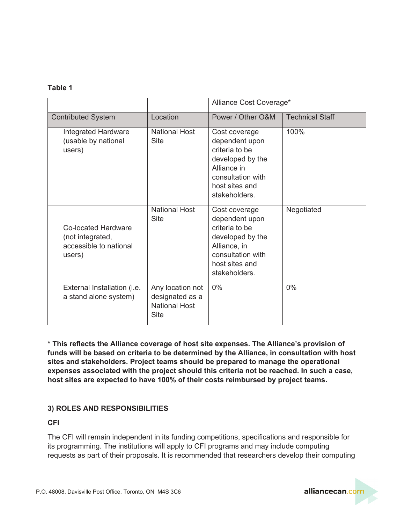#### **Table 1**

|                                                                             |                                                                            | Alliance Cost Coverage*                                                                                                                       |                        |
|-----------------------------------------------------------------------------|----------------------------------------------------------------------------|-----------------------------------------------------------------------------------------------------------------------------------------------|------------------------|
| <b>Contributed System</b>                                                   | Location                                                                   | Power / Other O&M                                                                                                                             | <b>Technical Staff</b> |
| <b>Integrated Hardware</b><br>(usable by national<br>users)                 | <b>National Host</b><br>Site                                               | Cost coverage<br>dependent upon<br>criteria to be<br>developed by the<br>Alliance in<br>consultation with<br>host sites and<br>stakeholders.  | 100%                   |
| Co-located Hardware<br>(not integrated,<br>accessible to national<br>users) | <b>National Host</b><br><b>Site</b>                                        | Cost coverage<br>dependent upon<br>criteria to be<br>developed by the<br>Alliance, in<br>consultation with<br>host sites and<br>stakeholders. | Negotiated             |
| External Installation (i.e.<br>a stand alone system)                        | Any location not<br>designated as a<br><b>National Host</b><br><b>Site</b> | $0\%$                                                                                                                                         | $0\%$                  |

**\* This reflects the Alliance coverage of host site expenses. The Alliance's provision of funds will be based on criteria to be determined by the Alliance, in consultation with host sites and stakeholders. Project teams should be prepared to manage the operational expenses associated with the project should this criteria not be reached. In such a case, host sites are expected to have 100% of their costs reimbursed by project teams.**

## **3) ROLES AND RESPONSIBILITIES**

**CFI**

The CFI will remain independent in its funding competitions, specifications and responsible for its programming. The institutions will apply to CFI programs and may include computing requests as part of their proposals. It is recommended that researchers develop their computing

alliancecan.cor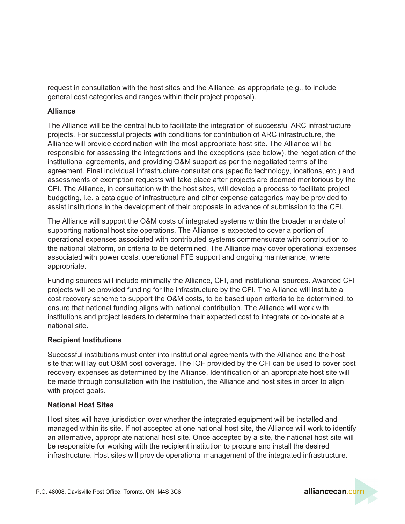request in consultation with the host sites and the Alliance, as appropriate (e.g., to include general cost categories and ranges within their project proposal).

## **Alliance**

The Alliance will be the central hub to facilitate the integration of successful ARC infrastructure projects. For successful projects with conditions for contribution of ARC infrastructure, the Alliance will provide coordination with the most appropriate host site. The Alliance will be responsible for assessing the integrations and the exceptions (see below), the negotiation of the institutional agreements, and providing O&M support as per the negotiated terms of the agreement. Final individual infrastructure consultations (specific technology, locations, etc.) and assessments of exemption requests will take place after projects are deemed meritorious by the CFI. The Alliance, in consultation with the host sites, will develop a process to facilitate project budgeting, i.e. a catalogue of infrastructure and other expense categories may be provided to assist institutions in the development of their proposals in advance of submission to the CFI.

The Alliance will support the O&M costs of integrated systems within the broader mandate of supporting national host site operations. The Alliance is expected to cover a portion of operational expenses associated with contributed systems commensurate with contribution to the national platform, on criteria to be determined. The Alliance may cover operational expenses associated with power costs, operational FTE support and ongoing maintenance, where appropriate.

Funding sources will include minimally the Alliance, CFI, and institutional sources. Awarded CFI projects will be provided funding for the infrastructure by the CFI. The Alliance will institute a cost recovery scheme to support the O&M costs, to be based upon criteria to be determined, to ensure that national funding aligns with national contribution. The Alliance will work with institutions and project leaders to determine their expected cost to integrate or co-locate at a national site.

## **Recipient Institutions**

Successful institutions must enter into institutional agreements with the Alliance and the host site that will lay out O&M cost coverage. The IOF provided by the CFI can be used to cover cost recovery expenses as determined by the Alliance. Identification of an appropriate host site will be made through consultation with the institution, the Alliance and host sites in order to align with project goals.

#### **National Host Sites**

Host sites will have jurisdiction over whether the integrated equipment will be installed and managed within its site. If not accepted at one national host site, the Alliance will work to identify an alternative, appropriate national host site. Once accepted by a site, the national host site will be responsible for working with the recipient institution to procure and install the desired infrastructure. Host sites will provide operational management of the integrated infrastructure.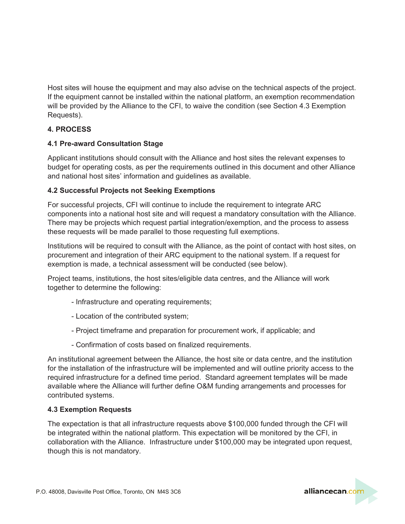Host sites will house the equipment and may also advise on the technical aspects of the project. If the equipment cannot be installed within the national platform, an exemption recommendation will be provided by the Alliance to the CFI, to waive the condition (see Section 4.3 Exemption Requests).

# **4. PROCESS**

## **4.1 Pre-award Consultation Stage**

Applicant institutions should consult with the Alliance and host sites the relevant expenses to budget for operating costs, as per the requirements outlined in this document and other Alliance and national host sites' information and guidelines as available.

#### **4.2 Successful Projects not Seeking Exemptions**

For successful projects, CFI will continue to include the requirement to integrate ARC components into a national host site and will request a mandatory consultation with the Alliance. There may be projects which request partial integration/exemption, and the process to assess these requests will be made parallel to those requesting full exemptions.

Institutions will be required to consult with the Alliance, as the point of contact with host sites, on procurement and integration of their ARC equipment to the national system. If a request for exemption is made, a technical assessment will be conducted (see below).

Project teams, institutions, the host sites/eligible data centres, and the Alliance will work together to determine the following:

- Infrastructure and operating requirements;
- Location of the contributed system;
- Project timeframe and preparation for procurement work, if applicable; and
- Confirmation of costs based on finalized requirements.

An institutional agreement between the Alliance, the host site or data centre, and the institution for the installation of the infrastructure will be implemented and will outline priority access to the required infrastructure for a defined time period. Standard agreement templates will be made available where the Alliance will further define O&M funding arrangements and processes for contributed systems.

## **4.3 Exemption Requests**

The expectation is that all infrastructure requests above \$100,000 funded through the CFI will be integrated within the national platform. This expectation will be monitored by the CFI, in collaboration with the Alliance. Infrastructure under \$100,000 may be integrated upon request, though this is not mandatory.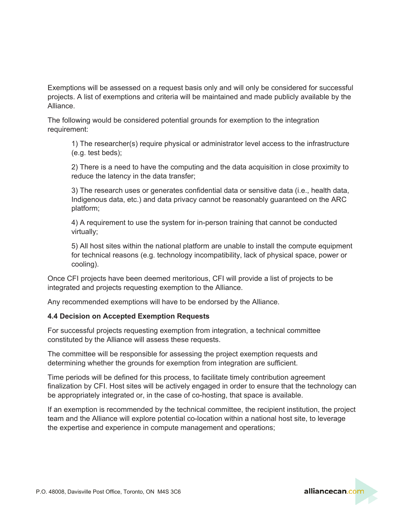Exemptions will be assessed on a request basis only and will only be considered for successful projects. A list of exemptions and criteria will be maintained and made publicly available by the Alliance.

The following would be considered potential grounds for exemption to the integration requirement:

1) The researcher(s) require physical or administrator level access to the infrastructure (e.g. test beds);

2) There is a need to have the computing and the data acquisition in close proximity to reduce the latency in the data transfer;

3) The research uses or generates confidential data or sensitive data (i.e., health data, Indigenous data, etc.) and data privacy cannot be reasonably guaranteed on the ARC platform;

4) A requirement to use the system for in-person training that cannot be conducted virtually;

5) All host sites within the national platform are unable to install the compute equipment for technical reasons (e.g. technology incompatibility, lack of physical space, power or cooling).

Once CFI projects have been deemed meritorious, CFI will provide a list of projects to be integrated and projects requesting exemption to the Alliance.

Any recommended exemptions will have to be endorsed by the Alliance.

## **4.4 Decision on Accepted Exemption Requests**

For successful projects requesting exemption from integration, a technical committee constituted by the Alliance will assess these requests.

The committee will be responsible for assessing the project exemption requests and determining whether the grounds for exemption from integration are sufficient.

Time periods will be defined for this process, to facilitate timely contribution agreement finalization by CFI. Host sites will be actively engaged in order to ensure that the technology can be appropriately integrated or, in the case of co-hosting, that space is available.

If an exemption is recommended by the technical committee, the recipient institution, the project team and the Alliance will explore potential co-location within a national host site, to leverage the expertise and experience in compute management and operations;

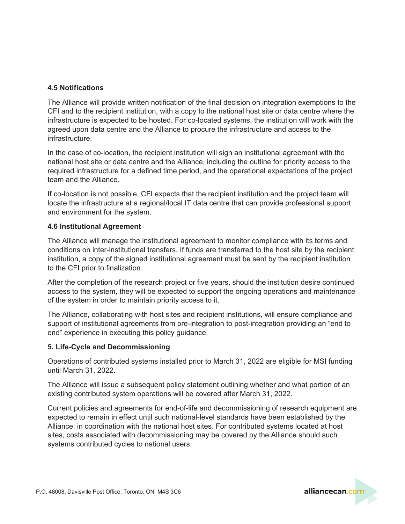## **4.5 Notifications**

The Alliance will provide written notification of the final decision on integration exemptions to the CFI and to the recipient institution, with a copy to the national host site or data centre where the infrastructure is expected to be hosted. For co-located systems, the institution will work with the agreed upon data centre and the Alliance to procure the infrastructure and access to the infrastructure.

In the case of co-location, the recipient institution will sign an institutional agreement with the national host site or data centre and the Alliance, including the outline for priority access to the required infrastructure for a defined time period, and the operational expectations of the project team and the Alliance.

If co-location is not possible, CFI expects that the recipient institution and the project team will locate the infrastructure at a regional/local IT data centre that can provide professional support and environment for the system.

## **4.6 Institutional Agreement**

The Alliance will manage the institutional agreement to monitor compliance with its terms and conditions on inter-institutional transfers. If funds are transferred to the host site by the recipient institution, a copy of the signed institutional agreement must be sent by the recipient institution to the CFI prior to finalization.

After the completion of the research project or five years, should the institution desire continued access to the system, they will be expected to support the ongoing operations and maintenance of the system in order to maintain priority access to it.

The Alliance, collaborating with host sites and recipient institutions, will ensure compliance and support of institutional agreements from pre-integration to post-integration providing an "end to end" experience in executing this policy guidance.

## **5. Life-Cycle and Decommissioning**

Operations of contributed systems installed prior to March 31, 2022 are eligible for MSI funding until March 31, 2022.

The Alliance will issue a subsequent policy statement outlining whether and what portion of an existing contributed system operations will be covered after March 31, 2022.

Current policies and agreements for end-of-life and decommissioning of research equipment are expected to remain in effect until such national-level standards have been established by the Alliance, in coordination with the national host sites. For contributed systems located at host sites, costs associated with decommissioning may be covered by the Alliance should such systems contributed cycles to national users.

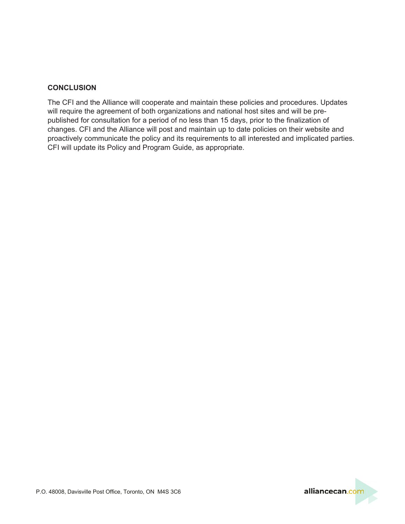## **CONCLUSION**

The CFI and the Alliance will cooperate and maintain these policies and procedures. Updates will require the agreement of both organizations and national host sites and will be prepublished for consultation for a period of no less than 15 days, prior to the finalization of changes. CFI and the Alliance will post and maintain up to date policies on their website and proactively communicate the policy and its requirements to all interested and implicated parties. CFI will update its Policy and Program Guide, as appropriate.